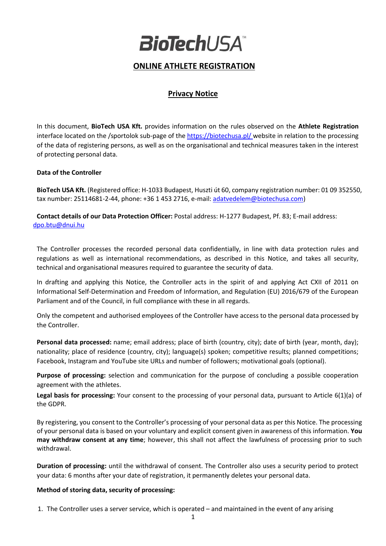

# **ONLINE ATHLETE REGISTRATION**

## **Privacy Notice**

In this document, **BioTech USA Kft.** provides information on the rules observed on the **Athlete Registration**  interface located on the /sportolok sub-page of th[e https://biotechusa.pl/](https://biotechusa.pl/) website in relation to the processing of the data of registering persons, as well as on the organisational and technical measures taken in the interest of protecting personal data.

#### **Data of the Controller**

**BioTech USA Kft.** (Registered office: H-1033 Budapest, Huszti út 60, company registration number: 01 09 352550, tax number: 25114681-2-44, phone: +36 1 453 2716, e-mail[: adatvedelem@biotechusa.com\)](mailto:adatvedelem@biotechusa.com)

**Contact details of our Data Protection Officer:** Postal address: H-1277 Budapest, Pf. 83; E-mail address: [dpo.btu@dnui.hu](mailto:office@dnui.hu)

The Controller processes the recorded personal data confidentially, in line with data protection rules and regulations as well as international recommendations, as described in this Notice, and takes all security, technical and organisational measures required to guarantee the security of data.

In drafting and applying this Notice, the Controller acts in the spirit of and applying Act CXII of 2011 on Informational Self-Determination and Freedom of Information, and Regulation (EU) 2016/679 of the European Parliament and of the Council, in full compliance with these in all regards.

Only the competent and authorised employees of the Controller have access to the personal data processed by the Controller.

**Personal data processed:** name; email address; place of birth (country, city); date of birth (year, month, day); nationality; place of residence (country, city); language(s) spoken; competitive results; planned competitions; Facebook, Instagram and YouTube site URLs and number of followers; motivational goals (optional).

**Purpose of processing:** selection and communication for the purpose of concluding a possible cooperation agreement with the athletes.

**Legal basis for processing:** Your consent to the processing of your personal data, pursuant to Article 6(1)(a) of the GDPR.

By registering, you consent to the Controller's processing of your personal data as per this Notice. The processing of your personal data is based on your voluntary and explicit consent given in awareness of this information. **You may withdraw consent at any time**; however, this shall not affect the lawfulness of processing prior to such withdrawal.

**Duration of processing:** until the withdrawal of consent. The Controller also uses a security period to protect your data: 6 months after your date of registration, it permanently deletes your personal data.

#### **Method of storing data, security of processing:**

1. The Controller uses a server service, which is operated – and maintained in the event of any arising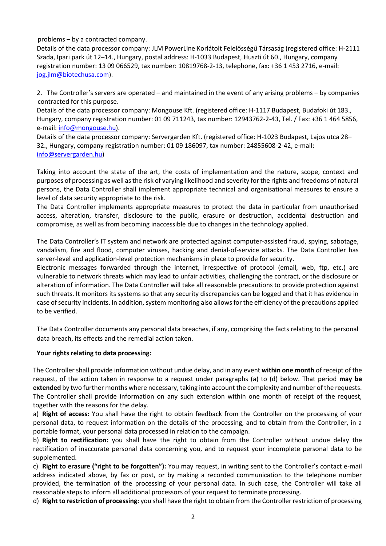problems – by a contracted company.

Details of the data processor company: JLM PowerLine Korlátolt Felelősségű Társaság (registered office: H-2111 Szada, Ipari park út 12–14., Hungary, postal address: H-1033 Budapest, Huszti út 60., Hungary, company registration number: 13 09 066529, tax number: 10819768-2-13, telephone, fax: +36 1 453 2716, e-mail: [jog.jlm@biotechusa.com\)](mailto:jog.jlm@biotechusa.com).

2. The Controller's servers are operated – and maintained in the event of any arising problems – by companies contracted for this purpose.

Details of the data processor company: Mongouse Kft. (registered office: H-1117 Budapest, Budafoki út 183., Hungary, company registration number: 01 09 711243, tax number: 12943762-2-43, Tel. / Fax: +36 1 464 5856, e-mail: [info@mongouse.hu\)](mailto:info@mongouse.hu).

Details of the data processor company: Servergarden Kft. (registered office: H-1023 Budapest, Lajos utca 28– 32., Hungary, company registration number: 01 09 186097, tax number: 24855608-2-42, e-mail: [info@servergarden.hu\)](mailto:info@mongouse.hu)

Taking into account the state of the art, the costs of implementation and the nature, scope, context and purposes of processing as well as the risk of varying likelihood and severity for the rights and freedoms of natural persons, the Data Controller shall implement appropriate technical and organisational measures to ensure a level of data security appropriate to the risk.

The Data Controller implements appropriate measures to protect the data in particular from unauthorised access, alteration, transfer, disclosure to the public, erasure or destruction, accidental destruction and compromise, as well as from becoming inaccessible due to changes in the technology applied.

The Data Controller's IT system and network are protected against computer-assisted fraud, spying, sabotage, vandalism, fire and flood, computer viruses, hacking and denial-of-service attacks. The Data Controller has server-level and application-level protection mechanisms in place to provide for security.

Electronic messages forwarded through the internet, irrespective of protocol (email, web, ftp, etc.) are vulnerable to network threats which may lead to unfair activities, challenging the contract, or the disclosure or alteration of information. The Data Controller will take all reasonable precautions to provide protection against such threats. It monitors its systems so that any security discrepancies can be logged and that it has evidence in case of security incidents. In addition, system monitoring also allows for the efficiency of the precautions applied to be verified.

The Data Controller documents any personal data breaches, if any, comprising the facts relating to the personal data breach, its effects and the remedial action taken.

### **Your rights relating to data processing:**

The Controller shall provide information without undue delay, and in any event **within one month** of receipt of the request, of the action taken in response to a request under paragraphs (a) to (d) below. That period **may be extended** by two further months where necessary, taking into account the complexity and number of the requests. The Controller shall provide information on any such extension within one month of receipt of the request, together with the reasons for the delay.

a) **Right of access:** You shall have the right to obtain feedback from the Controller on the processing of your personal data, to request information on the details of the processing, and to obtain from the Controller, in a portable format, your personal data processed in relation to the campaign.

b) **Right to rectification:** you shall have the right to obtain from the Controller without undue delay the rectification of inaccurate personal data concerning you, and to request your incomplete personal data to be supplemented.

c) **Right to erasure ("right to be forgotten"):** You may request, in writing sent to the Controller's contact e-mail address indicated above, by fax or post, or by making a recorded communication to the telephone number provided, the termination of the processing of your personal data. In such case, the Controller will take all reasonable steps to inform all additional processors of your request to terminate processing.

d) **Right to restriction of processing:** you shall have the right to obtain from the Controller restriction of processing